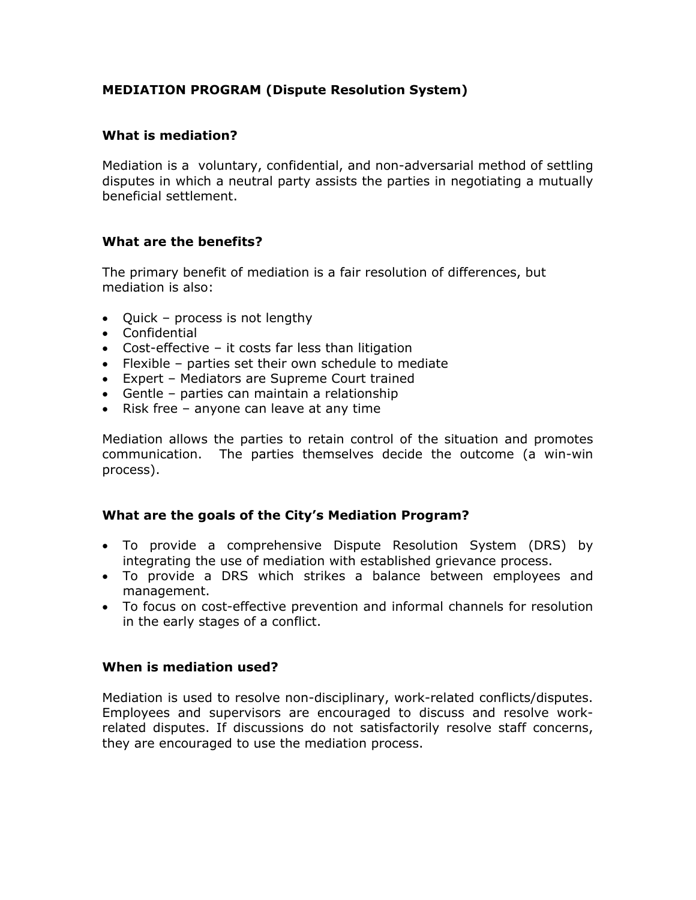# **MEDIATION PROGRAM (Dispute Resolution System)**

## **What is mediation?**

Mediation is a voluntary, confidential, and non-adversarial method of settling disputes in which a neutral party assists the parties in negotiating a mutually beneficial settlement.

## **What are the benefits?**

The primary benefit of mediation is a fair resolution of differences, but mediation is also:

- Quick process is not lengthy
- Confidential
- Cost-effective it costs far less than litigation
- Flexible parties set their own schedule to mediate
- Expert Mediators are Supreme Court trained
- Gentle parties can maintain a relationship
- Risk free anyone can leave at any time

Mediation allows the parties to retain control of the situation and promotes communication. The parties themselves decide the outcome (a win-win process).

## **What are the goals of the City's Mediation Program?**

- To provide a comprehensive Dispute Resolution System (DRS) by integrating the use of mediation with established grievance process.
- To provide a DRS which strikes a balance between employees and management.
- To focus on cost-effective prevention and informal channels for resolution in the early stages of a conflict.

#### **When is mediation used?**

Mediation is used to resolve non-disciplinary, work-related conflicts/disputes. Employees and supervisors are encouraged to discuss and resolve workrelated disputes. If discussions do not satisfactorily resolve staff concerns, they are encouraged to use the mediation process.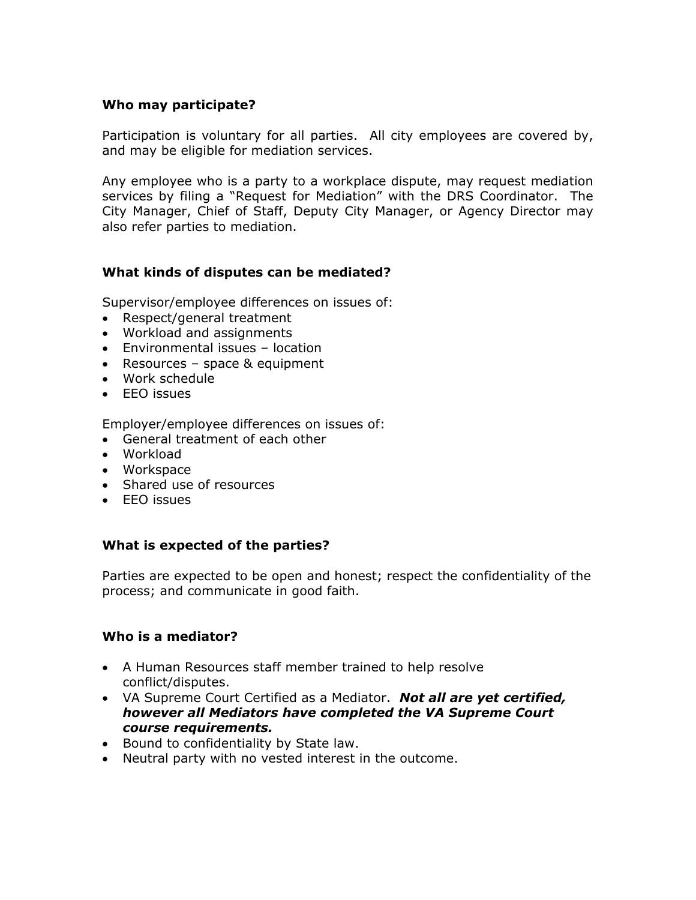## **Who may participate?**

Participation is voluntary for all parties. All city employees are covered by, and may be eligible for mediation services.

Any employee who is a party to a workplace dispute, may request mediation services by filing a "Request for Mediation" with the DRS Coordinator. The City Manager, Chief of Staff, Deputy City Manager, or Agency Director may also refer parties to mediation.

### **What kinds of disputes can be mediated?**

Supervisor/employee differences on issues of:

- Respect/general treatment
- Workload and assignments
- Environmental issues location
- Resources space & equipment
- Work schedule
- EEO issues

Employer/employee differences on issues of:

- General treatment of each other
- Workload
- Workspace
- Shared use of resources
- EEO issues

#### **What is expected of the parties?**

Parties are expected to be open and honest; respect the confidentiality of the process; and communicate in good faith.

#### **Who is a mediator?**

- A Human Resources staff member trained to help resolve conflict/disputes.
- VA Supreme Court Certified as a Mediator. *Not all are yet certified, however all Mediators have completed the VA Supreme Court course requirements.*
- Bound to confidentiality by State law.
- Neutral party with no vested interest in the outcome.